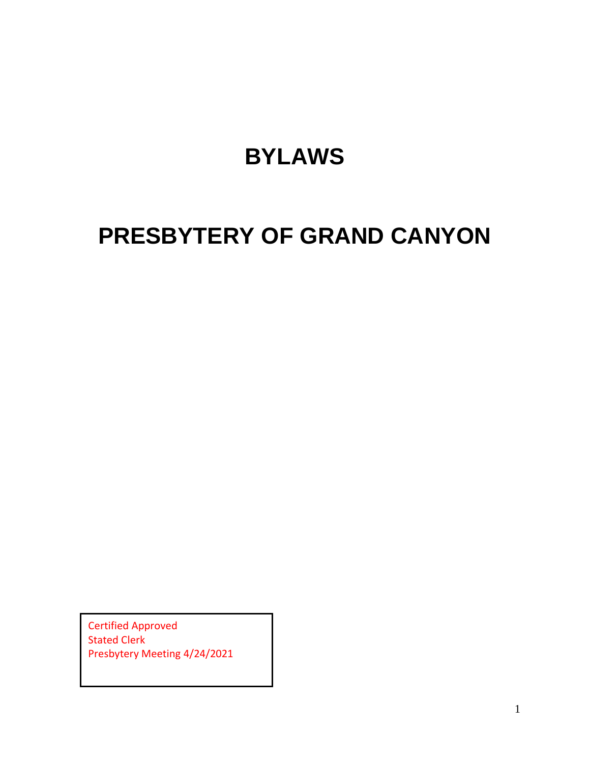# **BYLAWS**

# **PRESBYTERY OF GRAND CANYON**

Certified Approved Stated Clerk Presbytery Meeting 4/24/2021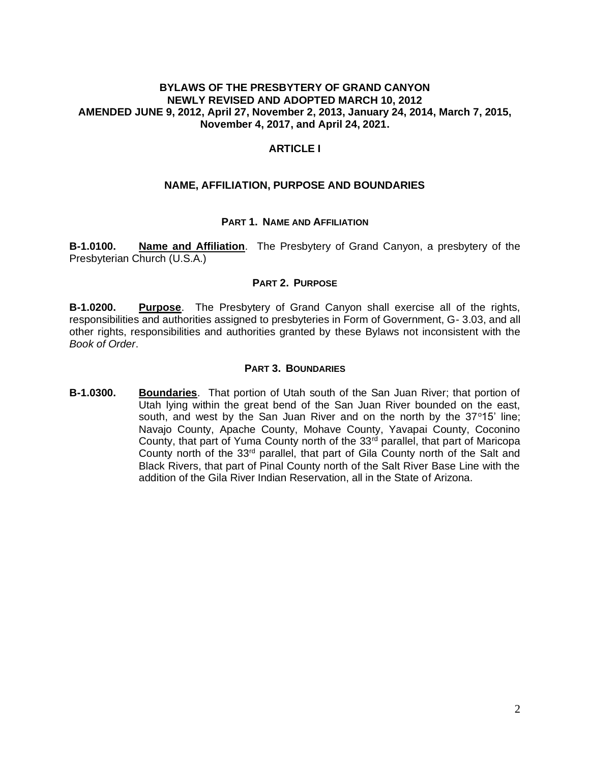#### **BYLAWS OF THE PRESBYTERY OF GRAND CANYON NEWLY REVISED AND ADOPTED MARCH 10, 2012 AMENDED JUNE 9, 2012, April 27, November 2, 2013, January 24, 2014, March 7, 2015, November 4, 2017, and April 24, 2021.**

## **ARTICLE I**

#### **NAME, AFFILIATION, PURPOSE AND BOUNDARIES**

#### **PART 1. NAME AND AFFILIATION**

**B-1.0100. Name and Affiliation**. The Presbytery of Grand Canyon, a presbytery of the Presbyterian Church (U.S.A.)

#### **PART 2. PURPOSE**

**B-1.0200. Purpose**. The Presbytery of Grand Canyon shall exercise all of the rights, responsibilities and authorities assigned to presbyteries in Form of Government, G- 3.03, and all other rights, responsibilities and authorities granted by these Bylaws not inconsistent with the *Book of Order*.

#### **PART 3. BOUNDARIES**

**B-1.0300. Boundaries**. That portion of Utah south of the San Juan River; that portion of Utah lying within the great bend of the San Juan River bounded on the east, south, and west by the San Juan River and on the north by the  $37^{\circ}15'$  line; Navajo County, Apache County, Mohave County, Yavapai County, Coconino County, that part of Yuma County north of the  $33<sup>rd</sup>$  parallel, that part of Maricopa County north of the  $33<sup>rd</sup>$  parallel, that part of Gila County north of the Salt and Black Rivers, that part of Pinal County north of the Salt River Base Line with the addition of the Gila River Indian Reservation, all in the State of Arizona.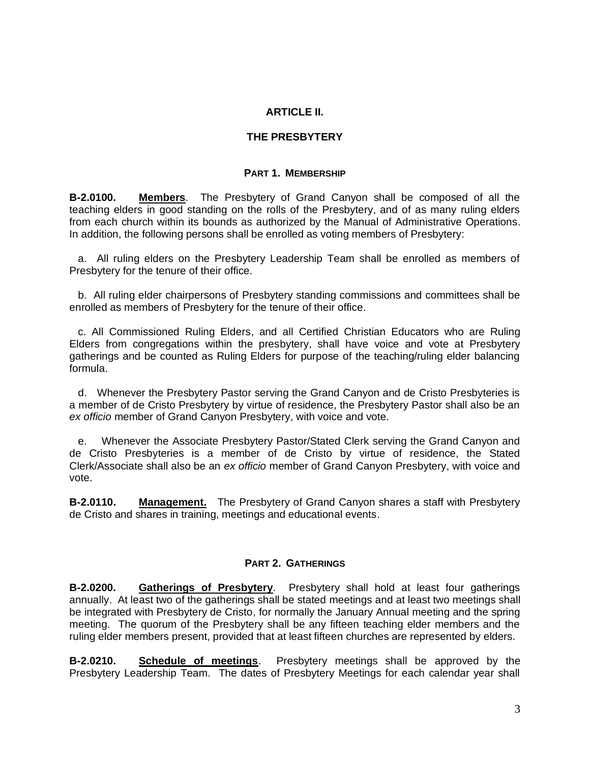## **ARTICLE II.**

### **THE PRESBYTERY**

#### **PART 1. MEMBERSHIP**

**B-2.0100. Members**. The Presbytery of Grand Canyon shall be composed of all the teaching elders in good standing on the rolls of the Presbytery, and of as many ruling elders from each church within its bounds as authorized by the Manual of Administrative Operations. In addition, the following persons shall be enrolled as voting members of Presbytery:

 a. All ruling elders on the Presbytery Leadership Team shall be enrolled as members of Presbytery for the tenure of their office.

 b. All ruling elder chairpersons of Presbytery standing commissions and committees shall be enrolled as members of Presbytery for the tenure of their office.

 c. All Commissioned Ruling Elders, and all Certified Christian Educators who are Ruling Elders from congregations within the presbytery, shall have voice and vote at Presbytery gatherings and be counted as Ruling Elders for purpose of the teaching/ruling elder balancing formula.

d. Whenever the Presbytery Pastor serving the Grand Canyon and de Cristo Presbyteries is a member of de Cristo Presbytery by virtue of residence, the Presbytery Pastor shall also be an *ex officio* member of Grand Canyon Presbytery, with voice and vote.

e. Whenever the Associate Presbytery Pastor/Stated Clerk serving the Grand Canyon and de Cristo Presbyteries is a member of de Cristo by virtue of residence, the Stated Clerk/Associate shall also be an *ex officio* member of Grand Canyon Presbytery, with voice and vote.

**B-2.0110. Management.** The Presbytery of Grand Canyon shares a staff with Presbytery de Cristo and shares in training, meetings and educational events.

#### **PART 2. GATHERINGS**

**B-2.0200. Gatherings of Presbytery**. Presbytery shall hold at least four gatherings annually. At least two of the gatherings shall be stated meetings and at least two meetings shall be integrated with Presbytery de Cristo, for normally the January Annual meeting and the spring meeting. The quorum of the Presbytery shall be any fifteen teaching elder members and the ruling elder members present, provided that at least fifteen churches are represented by elders.

**B-2.0210. Schedule of meetings**. Presbytery meetings shall be approved by the Presbytery Leadership Team. The dates of Presbytery Meetings for each calendar year shall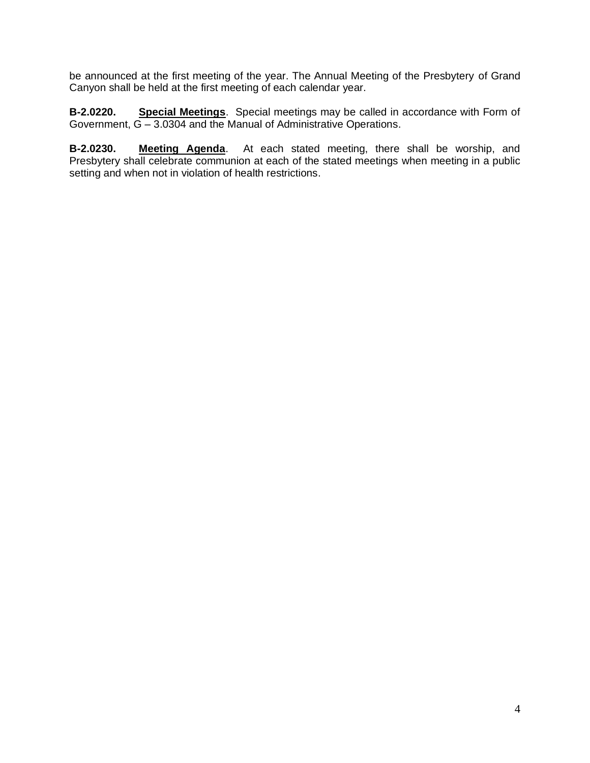be announced at the first meeting of the year. The Annual Meeting of the Presbytery of Grand Canyon shall be held at the first meeting of each calendar year.

**B-2.0220. Special Meetings**. Special meetings may be called in accordance with Form of Government, G – 3.0304 and the Manual of Administrative Operations.

**B-2.0230. Meeting Agenda**. At each stated meeting, there shall be worship, and Presbytery shall celebrate communion at each of the stated meetings when meeting in a public setting and when not in violation of health restrictions.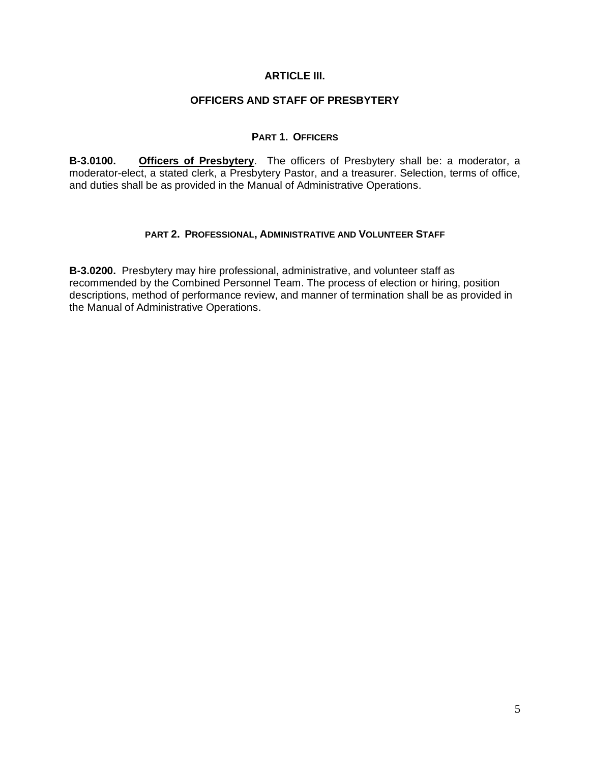## **ARTICLE III.**

## **OFFICERS AND STAFF OF PRESBYTERY**

### **PART 1. OFFICERS**

**B-3.0100. Officers of Presbytery**. The officers of Presbytery shall be: a moderator, a moderator-elect, a stated clerk, a Presbytery Pastor, and a treasurer. Selection, terms of office, and duties shall be as provided in the Manual of Administrative Operations.

### **PART 2. PROFESSIONAL, ADMINISTRATIVE AND VOLUNTEER STAFF**

**B-3.0200.** Presbytery may hire professional, administrative, and volunteer staff as recommended by the Combined Personnel Team. The process of election or hiring, position descriptions, method of performance review, and manner of termination shall be as provided in the Manual of Administrative Operations.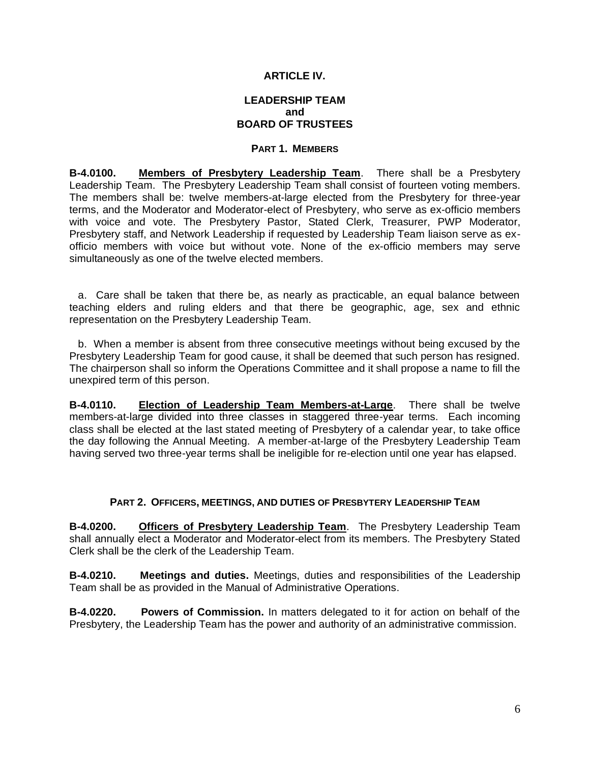## **ARTICLE IV.**

## **LEADERSHIP TEAM and BOARD OF TRUSTEES**

### **PART 1. MEMBERS**

**B-4.0100. Members of Presbytery Leadership Team**. There shall be a Presbytery Leadership Team. The Presbytery Leadership Team shall consist of fourteen voting members. The members shall be: twelve members-at-large elected from the Presbytery for three-year terms, and the Moderator and Moderator-elect of Presbytery, who serve as ex-officio members with voice and vote. The Presbytery Pastor, Stated Clerk, Treasurer, PWP Moderator, Presbytery staff, and Network Leadership if requested by Leadership Team liaison serve as exofficio members with voice but without vote. None of the ex-officio members may serve simultaneously as one of the twelve elected members.

 a. Care shall be taken that there be, as nearly as practicable, an equal balance between teaching elders and ruling elders and that there be geographic, age, sex and ethnic representation on the Presbytery Leadership Team.

 b. When a member is absent from three consecutive meetings without being excused by the Presbytery Leadership Team for good cause, it shall be deemed that such person has resigned. The chairperson shall so inform the Operations Committee and it shall propose a name to fill the unexpired term of this person.

**B-4.0110. Election of Leadership Team Members-at-Large**. There shall be twelve members-at-large divided into three classes in staggered three-year terms. Each incoming class shall be elected at the last stated meeting of Presbytery of a calendar year, to take office the day following the Annual Meeting. A member-at-large of the Presbytery Leadership Team having served two three-year terms shall be ineligible for re-election until one year has elapsed.

#### **PART 2. OFFICERS, MEETINGS, AND DUTIES OF PRESBYTERY LEADERSHIP TEAM**

**B-4.0200. Officers of Presbytery Leadership Team**. The Presbytery Leadership Team shall annually elect a Moderator and Moderator-elect from its members. The Presbytery Stated Clerk shall be the clerk of the Leadership Team.

**B-4.0210. Meetings and duties.** Meetings, duties and responsibilities of the Leadership Team shall be as provided in the Manual of Administrative Operations.

**B-4.0220. Powers of Commission.** In matters delegated to it for action on behalf of the Presbytery, the Leadership Team has the power and authority of an administrative commission.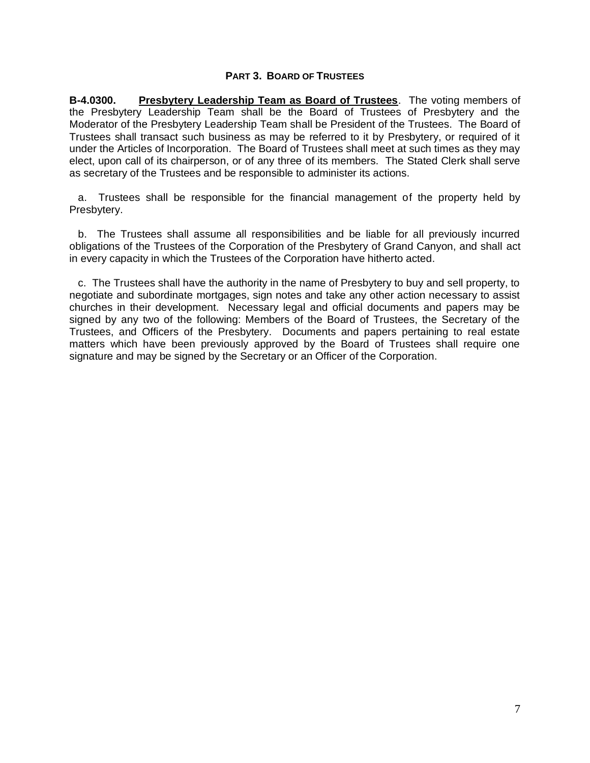#### **PART 3. BOARD OF TRUSTEES**

**B-4.0300. Presbytery Leadership Team as Board of Trustees**. The voting members of the Presbytery Leadership Team shall be the Board of Trustees of Presbytery and the Moderator of the Presbytery Leadership Team shall be President of the Trustees. The Board of Trustees shall transact such business as may be referred to it by Presbytery, or required of it under the Articles of Incorporation. The Board of Trustees shall meet at such times as they may elect, upon call of its chairperson, or of any three of its members. The Stated Clerk shall serve as secretary of the Trustees and be responsible to administer its actions.

 a. Trustees shall be responsible for the financial management of the property held by Presbytery.

 b. The Trustees shall assume all responsibilities and be liable for all previously incurred obligations of the Trustees of the Corporation of the Presbytery of Grand Canyon, and shall act in every capacity in which the Trustees of the Corporation have hitherto acted.

 c. The Trustees shall have the authority in the name of Presbytery to buy and sell property, to negotiate and subordinate mortgages, sign notes and take any other action necessary to assist churches in their development. Necessary legal and official documents and papers may be signed by any two of the following: Members of the Board of Trustees, the Secretary of the Trustees, and Officers of the Presbytery. Documents and papers pertaining to real estate matters which have been previously approved by the Board of Trustees shall require one signature and may be signed by the Secretary or an Officer of the Corporation.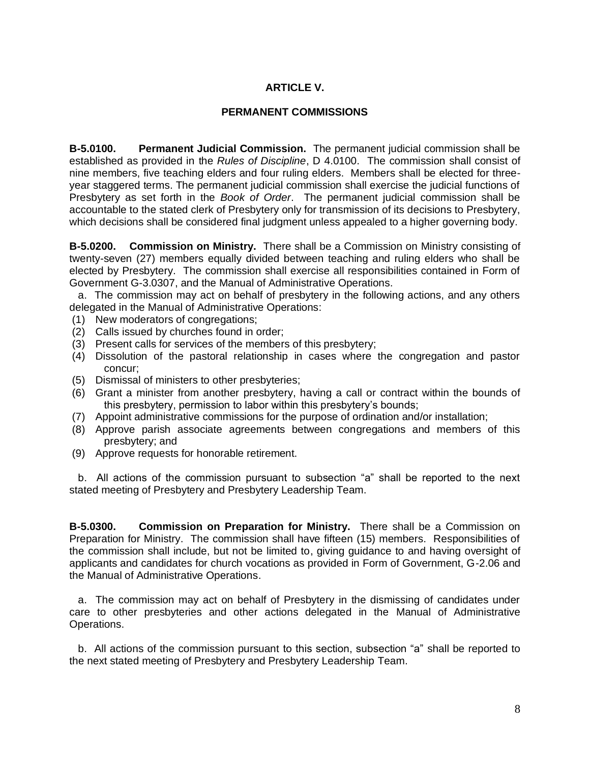## **ARTICLE V.**

## **PERMANENT COMMISSIONS**

**B-5.0100. Permanent Judicial Commission.** The permanent judicial commission shall be established as provided in the *Rules of Discipline*, D 4.0100. The commission shall consist of nine members, five teaching elders and four ruling elders. Members shall be elected for threeyear staggered terms. The permanent judicial commission shall exercise the judicial functions of Presbytery as set forth in the *Book of Order*. The permanent judicial commission shall be accountable to the stated clerk of Presbytery only for transmission of its decisions to Presbytery, which decisions shall be considered final judgment unless appealed to a higher governing body.

**B-5.0200. Commission on Ministry.** There shall be a Commission on Ministry consisting of twenty-seven (27) members equally divided between teaching and ruling elders who shall be elected by Presbytery. The commission shall exercise all responsibilities contained in Form of Government G-3.0307, and the Manual of Administrative Operations.

 a. The commission may act on behalf of presbytery in the following actions, and any others delegated in the Manual of Administrative Operations:

- (1) New moderators of congregations;
- (2) Calls issued by churches found in order;
- (3) Present calls for services of the members of this presbytery;
- (4) Dissolution of the pastoral relationship in cases where the congregation and pastor concur;
- (5) Dismissal of ministers to other presbyteries;
- (6) Grant a minister from another presbytery, having a call or contract within the bounds of this presbytery, permission to labor within this presbytery's bounds;
- (7) Appoint administrative commissions for the purpose of ordination and/or installation;
- (8) Approve parish associate agreements between congregations and members of this presbytery; and
- (9) Approve requests for honorable retirement.

 b. All actions of the commission pursuant to subsection "a" shall be reported to the next stated meeting of Presbytery and Presbytery Leadership Team.

**B-5.0300. Commission on Preparation for Ministry.** There shall be a Commission on Preparation for Ministry. The commission shall have fifteen (15) members. Responsibilities of the commission shall include, but not be limited to, giving guidance to and having oversight of applicants and candidates for church vocations as provided in Form of Government, G-2.06 and the Manual of Administrative Operations.

 a. The commission may act on behalf of Presbytery in the dismissing of candidates under care to other presbyteries and other actions delegated in the Manual of Administrative Operations.

 b. All actions of the commission pursuant to this section, subsection "a" shall be reported to the next stated meeting of Presbytery and Presbytery Leadership Team.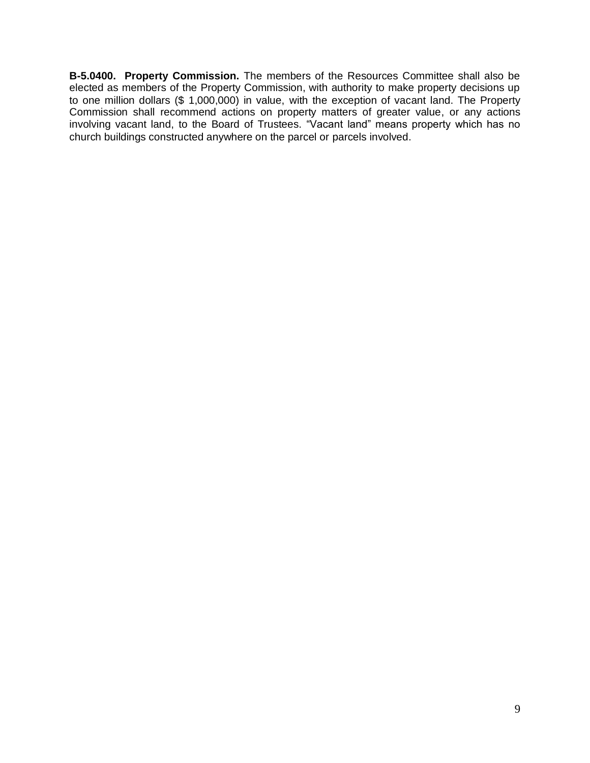**B-5.0400. Property Commission.** The members of the Resources Committee shall also be elected as members of the Property Commission, with authority to make property decisions up to one million dollars (\$ 1,000,000) in value, with the exception of vacant land. The Property Commission shall recommend actions on property matters of greater value, or any actions involving vacant land, to the Board of Trustees. "Vacant land" means property which has no church buildings constructed anywhere on the parcel or parcels involved.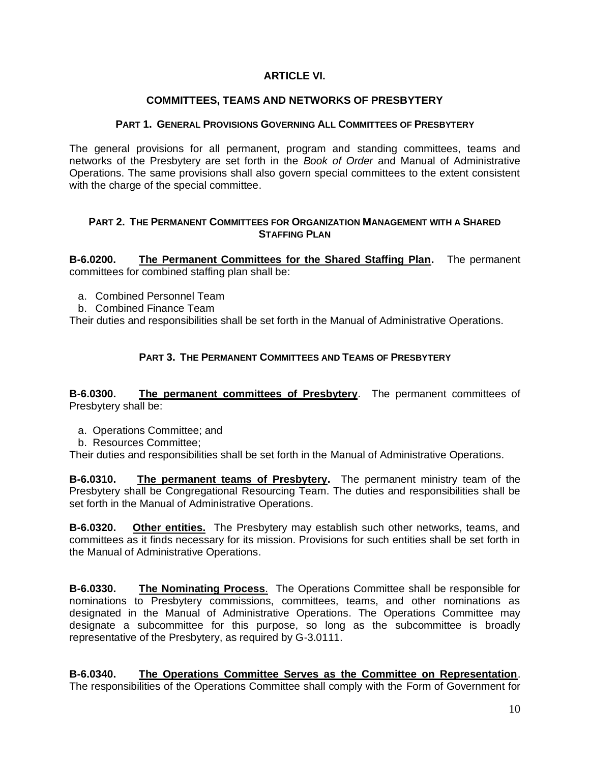## **ARTICLE VI.**

## **COMMITTEES, TEAMS AND NETWORKS OF PRESBYTERY**

#### **PART 1. GENERAL PROVISIONS GOVERNING ALL COMMITTEES OF PRESBYTERY**

The general provisions for all permanent, program and standing committees, teams and networks of the Presbytery are set forth in the *Book of Order* and Manual of Administrative Operations. The same provisions shall also govern special committees to the extent consistent with the charge of the special committee.

### **PART 2. THE PERMANENT COMMITTEES FOR ORGANIZATION MANAGEMENT WITH A SHARED STAFFING PLAN**

**B-6.0200. The Permanent Committees for the Shared Staffing Plan.** The permanent committees for combined staffing plan shall be:

- a. Combined Personnel Team
- b. Combined Finance Team

Their duties and responsibilities shall be set forth in the Manual of Administrative Operations.

## **PART 3. THE PERMANENT COMMITTEES AND TEAMS OF PRESBYTERY**

**B-6.0300. The permanent committees of Presbytery**. The permanent committees of Presbytery shall be:

- a. Operations Committee; and
- b. Resources Committee;

Their duties and responsibilities shall be set forth in the Manual of Administrative Operations.

**B-6.0310. The permanent teams of Presbytery.** The permanent ministry team of the Presbytery shall be Congregational Resourcing Team. The duties and responsibilities shall be set forth in the Manual of Administrative Operations.

**B-6.0320. Other entities.** The Presbytery may establish such other networks, teams, and committees as it finds necessary for its mission. Provisions for such entities shall be set forth in the Manual of Administrative Operations.

**B-6.0330. The Nominating Process**. The Operations Committee shall be responsible for nominations to Presbytery commissions, committees, teams, and other nominations as designated in the Manual of Administrative Operations. The Operations Committee may designate a subcommittee for this purpose, so long as the subcommittee is broadly representative of the Presbytery, as required by G-3.0111.

**B-6.0340. The Operations Committee Serves as the Committee on Representation**. The responsibilities of the Operations Committee shall comply with the Form of Government for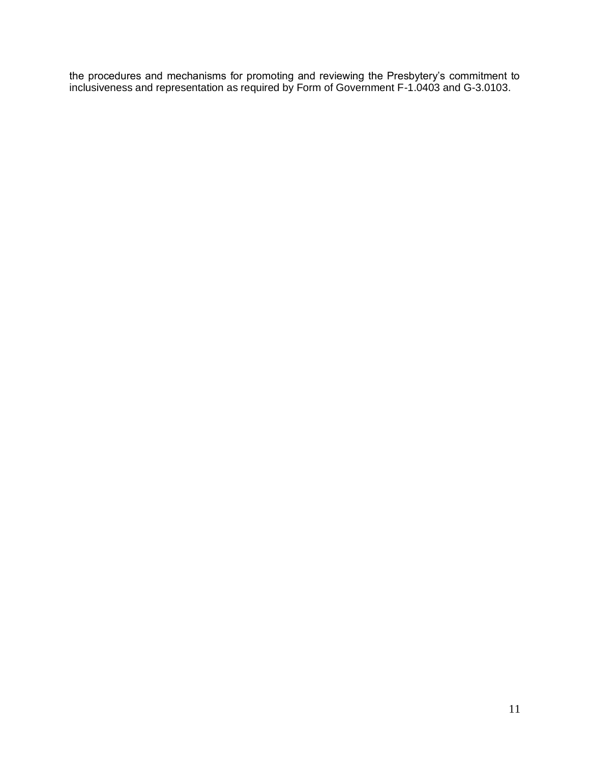the procedures and mechanisms for promoting and reviewing the Presbytery's commitment to inclusiveness and representation as required by Form of Government F-1.0403 and G-3.0103.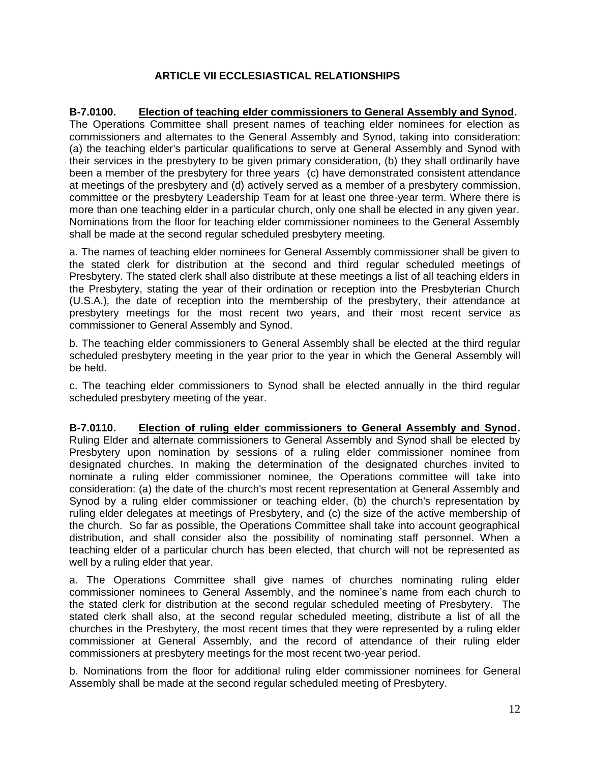# **ARTICLE VII ECCLESIASTICAL RELATIONSHIPS**

**B-7.0100. Election of teaching elder commissioners to General Assembly and Synod.**  The Operations Committee shall present names of teaching elder nominees for election as commissioners and alternates to the General Assembly and Synod, taking into consideration: (a) the teaching elder's particular qualifications to serve at General Assembly and Synod with their services in the presbytery to be given primary consideration, (b) they shall ordinarily have been a member of the presbytery for three years (c) have demonstrated consistent attendance at meetings of the presbytery and (d) actively served as a member of a presbytery commission, committee or the presbytery Leadership Team for at least one three-year term. Where there is more than one teaching elder in a particular church, only one shall be elected in any given year. Nominations from the floor for teaching elder commissioner nominees to the General Assembly shall be made at the second regular scheduled presbytery meeting.

a. The names of teaching elder nominees for General Assembly commissioner shall be given to the stated clerk for distribution at the second and third regular scheduled meetings of Presbytery. The stated clerk shall also distribute at these meetings a list of all teaching elders in the Presbytery, stating the year of their ordination or reception into the Presbyterian Church (U.S.A.)*,* the date of reception into the membership of the presbytery, their attendance at presbytery meetings for the most recent two years, and their most recent service as commissioner to General Assembly and Synod.

b. The teaching elder commissioners to General Assembly shall be elected at the third regular scheduled presbytery meeting in the year prior to the year in which the General Assembly will be held.

c. The teaching elder commissioners to Synod shall be elected annually in the third regular scheduled presbytery meeting of the year.

**B-7.0110. Election of ruling elder commissioners to General Assembly and Synod.**  Ruling Elder and alternate commissioners to General Assembly and Synod shall be elected by Presbytery upon nomination by sessions of a ruling elder commissioner nominee from designated churches. In making the determination of the designated churches invited to nominate a ruling elder commissioner nominee*,* the Operations committee will take into consideration: (a) the date of the church's most recent representation at General Assembly and Synod by a ruling elder commissioner or teaching elder, (b) the church's representation by ruling elder delegates at meetings of Presbytery, and (c) the size of the active membership of the church. So far as possible, the Operations Committee shall take into account geographical distribution, and shall consider also the possibility of nominating staff personnel. When a teaching elder of a particular church has been elected, that church will not be represented as well by a ruling elder that year.

a. The Operations Committee shall give names of churches nominating ruling elder commissioner nominees to General Assembly, and the nominee's name from each church to the stated clerk for distribution at the second regular scheduled meeting of Presbytery. The stated clerk shall also, at the second regular scheduled meeting, distribute a list of all the churches in the Presbytery*,* the most recent times that they were represented by a ruling elder commissioner at General Assembly*,* and the record of attendance of their ruling elder commissioners at presbytery meetings for the most recent two-year period.

b. Nominations from the floor for additional ruling elder commissioner nominees for General Assembly shall be made at the second regular scheduled meeting of Presbytery.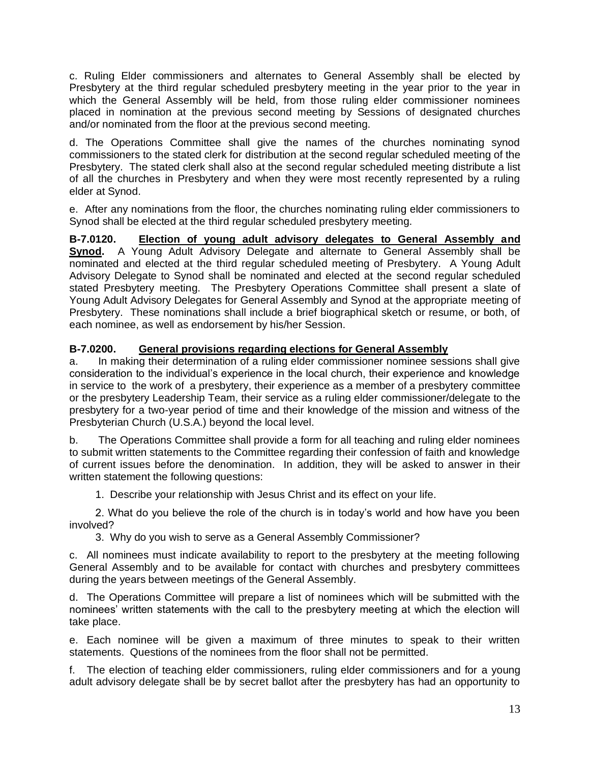c. Ruling Elder commissioners and alternates to General Assembly shall be elected by Presbytery at the third regular scheduled presbytery meeting in the year prior to the year in which the General Assembly will be held, from those ruling elder commissioner nominees placed in nomination at the previous second meeting by Sessions of designated churches and/or nominated from the floor at the previous second meeting.

d. The Operations Committee shall give the names of the churches nominating synod commissioners to the stated clerk for distribution at the second regular scheduled meeting of the Presbytery. The stated clerk shall also at the second regular scheduled meeting distribute a list of all the churches in Presbytery and when they were most recently represented by a ruling elder at Synod.

e. After any nominations from the floor, the churches nominating ruling elder commissioners to Synod shall be elected at the third regular scheduled presbytery meeting.

**B-7.0120. Election of young adult advisory delegates to General Assembly and Synod.** A Young Adult Advisory Delegate and alternate to General Assembly shall be nominated and elected at the third regular scheduled meeting of Presbytery. A Young Adult Advisory Delegate to Synod shall be nominated and elected at the second regular scheduled stated Presbytery meeting. The Presbytery Operations Committee shall present a slate of Young Adult Advisory Delegates for General Assembly and Synod at the appropriate meeting of Presbytery. These nominations shall include a brief biographical sketch or resume, or both, of each nominee, as well as endorsement by his/her Session.

# **B-7.0200. General provisions regarding elections for General Assembly**

a. In making their determination of a ruling elder commissioner nominee sessions shall give consideration to the individual's experience in the local church, their experience and knowledge in service to the work of a presbytery, their experience as a member of a presbytery committee or the presbytery Leadership Team, their service as a ruling elder commissioner/delegate to the presbytery for a two-year period of time and their knowledge of the mission and witness of the Presbyterian Church (U.S.A.) beyond the local level.

b. The Operations Committee shall provide a form for all teaching and ruling elder nominees to submit written statements to the Committee regarding their confession of faith and knowledge of current issues before the denomination. In addition, they will be asked to answer in their written statement the following questions:

1. Describe your relationship with Jesus Christ and its effect on your life.

2. What do you believe the role of the church is in today's world and how have you been involved?

3. Why do you wish to serve as a General Assembly Commissioner?

c. All nominees must indicate availability to report to the presbytery at the meeting following General Assembly and to be available for contact with churches and presbytery committees during the years between meetings of the General Assembly.

d. The Operations Committee will prepare a list of nominees which will be submitted with the nominees' written statements with the call to the presbytery meeting at which the election will take place.

e. Each nominee will be given a maximum of three minutes to speak to their written statements. Questions of the nominees from the floor shall not be permitted.

f. The election of teaching elder commissioners, ruling elder commissioners and for a young adult advisory delegate shall be by secret ballot after the presbytery has had an opportunity to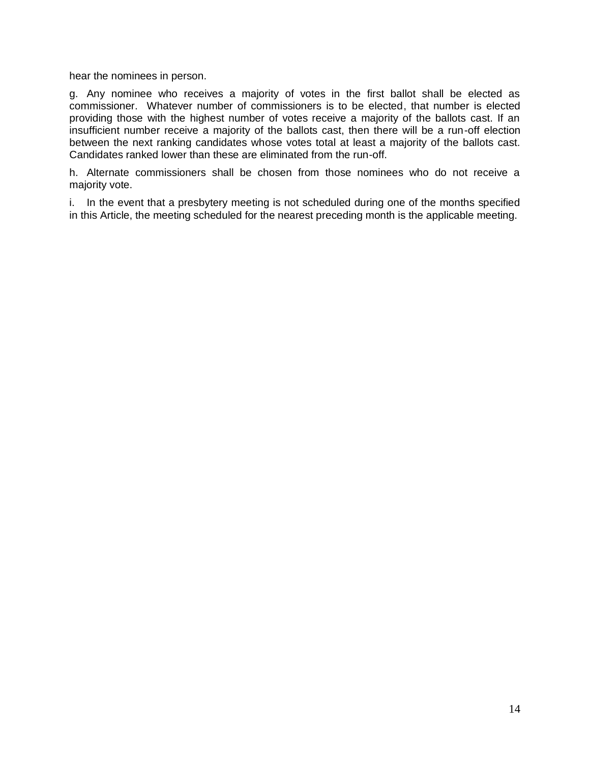hear the nominees in person.

g. Any nominee who receives a majority of votes in the first ballot shall be elected as commissioner. Whatever number of commissioners is to be elected, that number is elected providing those with the highest number of votes receive a majority of the ballots cast. If an insufficient number receive a majority of the ballots cast, then there will be a run-off election between the next ranking candidates whose votes total at least a majority of the ballots cast. Candidates ranked lower than these are eliminated from the run-off.

h. Alternate commissioners shall be chosen from those nominees who do not receive a majority vote.

i. In the event that a presbytery meeting is not scheduled during one of the months specified in this Article, the meeting scheduled for the nearest preceding month is the applicable meeting.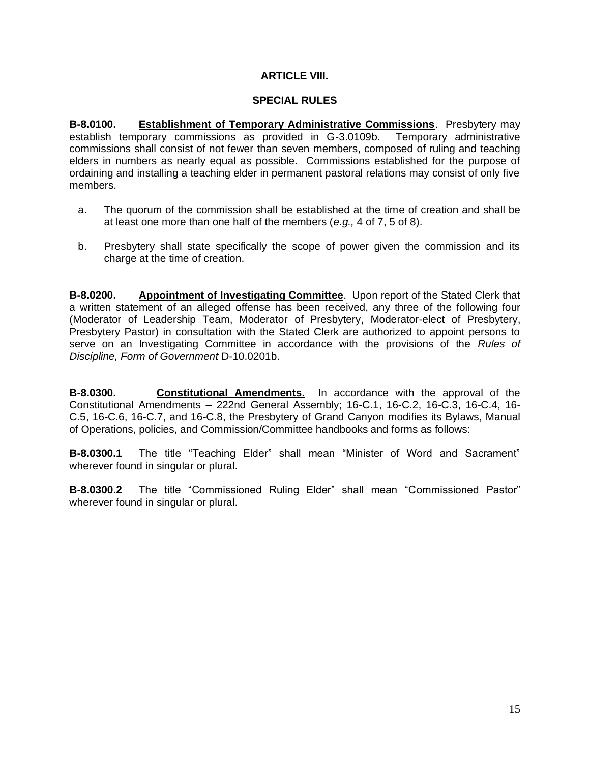## **ARTICLE VIII.**

#### **SPECIAL RULES**

**B-8.0100. Establishment of Temporary Administrative Commissions**. Presbytery may establish temporary commissions as provided in G-3.0109b. Temporary administrative commissions shall consist of not fewer than seven members, composed of ruling and teaching elders in numbers as nearly equal as possible. Commissions established for the purpose of ordaining and installing a teaching elder in permanent pastoral relations may consist of only five members.

- a. The quorum of the commission shall be established at the time of creation and shall be at least one more than one half of the members (*e.g.,* 4 of 7, 5 of 8).
- b. Presbytery shall state specifically the scope of power given the commission and its charge at the time of creation.

**B-8.0200. Appointment of Investigating Committee**. Upon report of the Stated Clerk that a written statement of an alleged offense has been received, any three of the following four (Moderator of Leadership Team, Moderator of Presbytery, Moderator-elect of Presbytery, Presbytery Pastor) in consultation with the Stated Clerk are authorized to appoint persons to serve on an Investigating Committee in accordance with the provisions of the *Rules of Discipline, Form of Government* D-10.0201b.

**B-8.0300. Constitutional Amendments.** In accordance with the approval of the Constitutional Amendments – 222nd General Assembly; 16-C.1, 16-C.2, 16-C.3, 16-C.4, 16- C.5, 16-C.6, 16-C.7, and 16-C.8, the Presbytery of Grand Canyon modifies its Bylaws, Manual of Operations, policies, and Commission/Committee handbooks and forms as follows:

**B-8.0300.1** The title "Teaching Elder" shall mean "Minister of Word and Sacrament" wherever found in singular or plural.

**B-8.0300.2** The title "Commissioned Ruling Elder" shall mean "Commissioned Pastor" wherever found in singular or plural.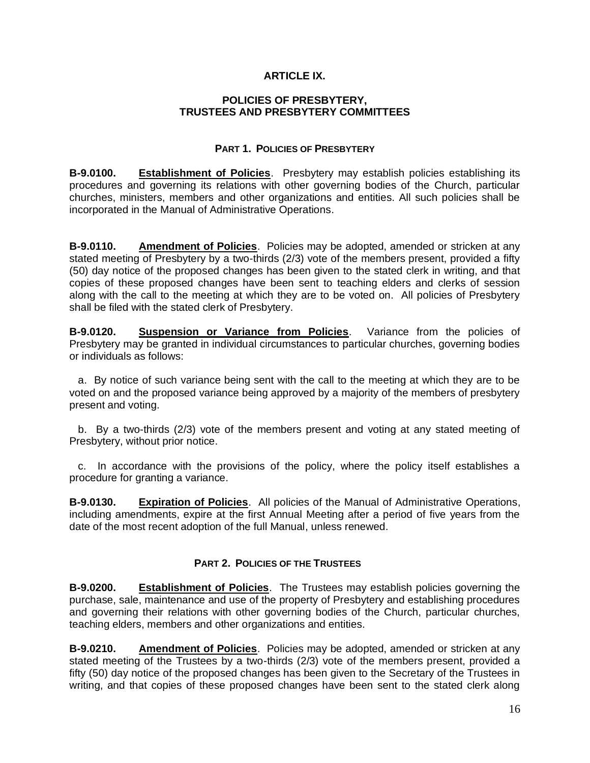## **ARTICLE IX.**

#### **POLICIES OF PRESBYTERY, TRUSTEES AND PRESBYTERY COMMITTEES**

## **PART 1. POLICIES OF PRESBYTERY**

**B-9.0100. Establishment of Policies**. Presbytery may establish policies establishing its procedures and governing its relations with other governing bodies of the Church, particular churches, ministers, members and other organizations and entities. All such policies shall be incorporated in the Manual of Administrative Operations.

**B-9.0110. Amendment of Policies**. Policies may be adopted, amended or stricken at any stated meeting of Presbytery by a two-thirds (2/3) vote of the members present, provided a fifty (50) day notice of the proposed changes has been given to the stated clerk in writing, and that copies of these proposed changes have been sent to teaching elders and clerks of session along with the call to the meeting at which they are to be voted on. All policies of Presbytery shall be filed with the stated clerk of Presbytery.

**B-9.0120. Suspension or Variance from Policies**. Variance from the policies of Presbytery may be granted in individual circumstances to particular churches, governing bodies or individuals as follows:

 a. By notice of such variance being sent with the call to the meeting at which they are to be voted on and the proposed variance being approved by a majority of the members of presbytery present and voting.

 b. By a two-thirds (2/3) vote of the members present and voting at any stated meeting of Presbytery, without prior notice.

 c. In accordance with the provisions of the policy, where the policy itself establishes a procedure for granting a variance.

**B-9.0130. Expiration of Policies**. All policies of the Manual of Administrative Operations, including amendments, expire at the first Annual Meeting after a period of five years from the date of the most recent adoption of the full Manual, unless renewed.

## **PART 2. POLICIES OF THE TRUSTEES**

**B-9.0200. Establishment of Policies**. The Trustees may establish policies governing the purchase, sale, maintenance and use of the property of Presbytery and establishing procedures and governing their relations with other governing bodies of the Church, particular churches, teaching elders, members and other organizations and entities.

**B-9.0210. Amendment of Policies**. Policies may be adopted, amended or stricken at any stated meeting of the Trustees by a two-thirds (2/3) vote of the members present, provided a fifty (50) day notice of the proposed changes has been given to the Secretary of the Trustees in writing, and that copies of these proposed changes have been sent to the stated clerk along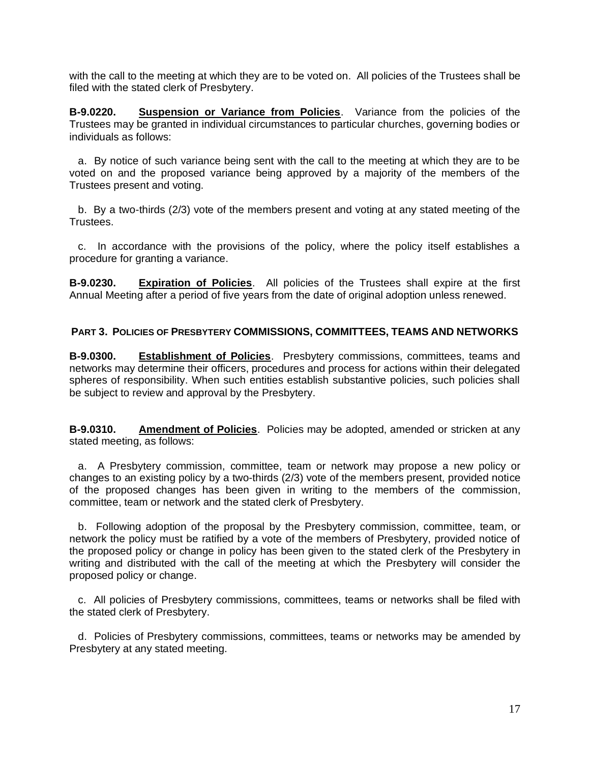with the call to the meeting at which they are to be voted on. All policies of the Trustees shall be filed with the stated clerk of Presbytery.

**B-9.0220. Suspension or Variance from Policies**. Variance from the policies of the Trustees may be granted in individual circumstances to particular churches, governing bodies or individuals as follows:

 a. By notice of such variance being sent with the call to the meeting at which they are to be voted on and the proposed variance being approved by a majority of the members of the Trustees present and voting.

 b. By a two-thirds (2/3) vote of the members present and voting at any stated meeting of the Trustees.

 c. In accordance with the provisions of the policy, where the policy itself establishes a procedure for granting a variance.

**B-9.0230. Expiration of Policies**. All policies of the Trustees shall expire at the first Annual Meeting after a period of five years from the date of original adoption unless renewed.

## **PART 3. POLICIES OF PRESBYTERY COMMISSIONS, COMMITTEES, TEAMS AND NETWORKS**

**B-9.0300. Establishment of Policies**. Presbytery commissions, committees, teams and networks may determine their officers, procedures and process for actions within their delegated spheres of responsibility. When such entities establish substantive policies, such policies shall be subject to review and approval by the Presbytery.

**B-9.0310. Amendment of Policies**. Policies may be adopted, amended or stricken at any stated meeting, as follows:

 a. A Presbytery commission, committee, team or network may propose a new policy or changes to an existing policy by a two-thirds (2/3) vote of the members present, provided notice of the proposed changes has been given in writing to the members of the commission, committee, team or network and the stated clerk of Presbytery.

 b. Following adoption of the proposal by the Presbytery commission, committee, team, or network the policy must be ratified by a vote of the members of Presbytery, provided notice of the proposed policy or change in policy has been given to the stated clerk of the Presbytery in writing and distributed with the call of the meeting at which the Presbytery will consider the proposed policy or change.

 c. All policies of Presbytery commissions, committees, teams or networks shall be filed with the stated clerk of Presbytery.

 d. Policies of Presbytery commissions, committees, teams or networks may be amended by Presbytery at any stated meeting.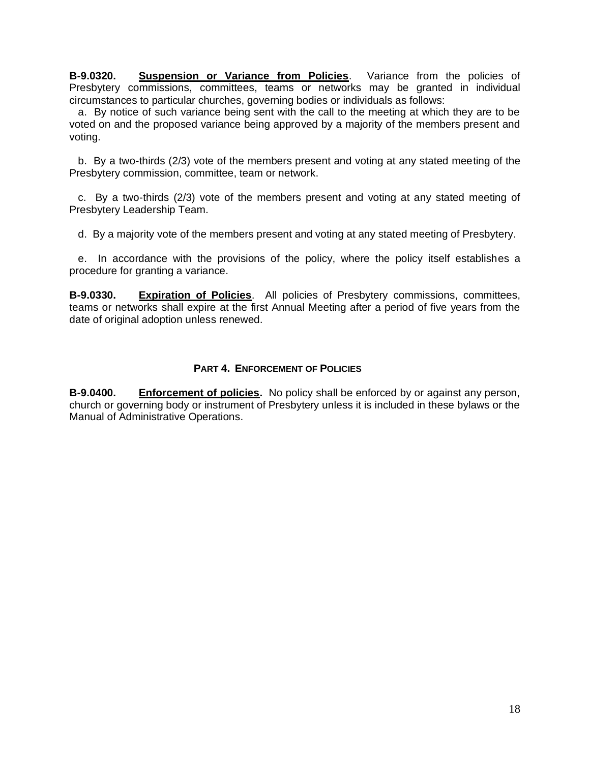**B-9.0320. Suspension or Variance from Policies**. Variance from the policies of Presbytery commissions, committees, teams or networks may be granted in individual circumstances to particular churches, governing bodies or individuals as follows:

 a. By notice of such variance being sent with the call to the meeting at which they are to be voted on and the proposed variance being approved by a majority of the members present and voting.

 b. By a two-thirds (2/3) vote of the members present and voting at any stated meeting of the Presbytery commission, committee, team or network.

 c. By a two-thirds (2/3) vote of the members present and voting at any stated meeting of Presbytery Leadership Team.

d. By a majority vote of the members present and voting at any stated meeting of Presbytery.

 e. In accordance with the provisions of the policy, where the policy itself establishes a procedure for granting a variance.

**B-9.0330. Expiration of Policies**. All policies of Presbytery commissions, committees, teams or networks shall expire at the first Annual Meeting after a period of five years from the date of original adoption unless renewed.

### **PART 4. ENFORCEMENT OF POLICIES**

**B-9.0400. Enforcement of policies.** No policy shall be enforced by or against any person, church or governing body or instrument of Presbytery unless it is included in these bylaws or the Manual of Administrative Operations.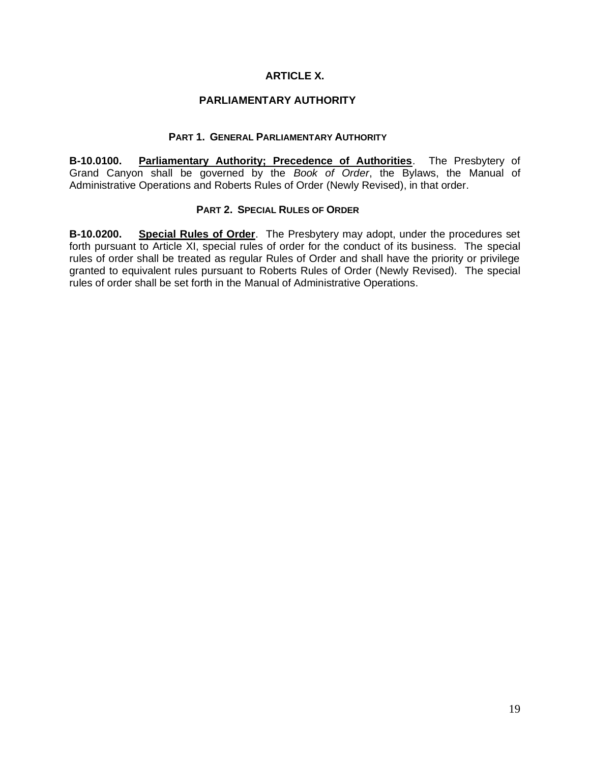## **ARTICLE X.**

#### **PARLIAMENTARY AUTHORITY**

#### **PART 1. GENERAL PARLIAMENTARY AUTHORITY**

**B-10.0100. Parliamentary Authority; Precedence of Authorities**. The Presbytery of Grand Canyon shall be governed by the *Book of Order*, the Bylaws, the Manual of Administrative Operations and Roberts Rules of Order (Newly Revised), in that order.

#### **PART 2. SPECIAL RULES OF ORDER**

**B-10.0200. Special Rules of Order**. The Presbytery may adopt, under the procedures set forth pursuant to Article XI, special rules of order for the conduct of its business. The special rules of order shall be treated as regular Rules of Order and shall have the priority or privilege granted to equivalent rules pursuant to Roberts Rules of Order (Newly Revised). The special rules of order shall be set forth in the Manual of Administrative Operations.